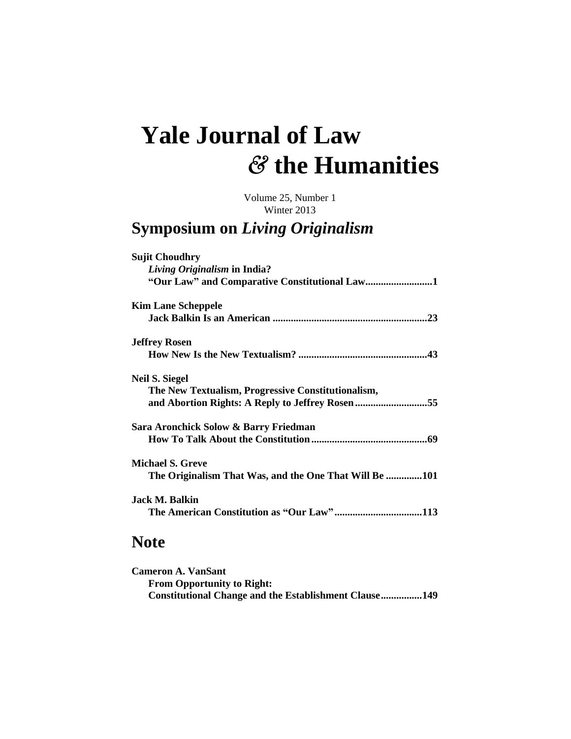## **Yale Journal of Law** *&* **the Humanities**

Volume 25, Number 1 Winter 2013

## **Symposium on** *Living Originalism*

| <b>Sujit Choudhry</b>                                  |
|--------------------------------------------------------|
| Living Originalism in India?                           |
| "Our Law" and Comparative Constitutional Law1          |
| <b>Kim Lane Scheppele</b>                              |
|                                                        |
| <b>Jeffrey Rosen</b>                                   |
|                                                        |
| <b>Neil S. Siegel</b>                                  |
| The New Textualism, Progressive Constitutionalism,     |
| and Abortion Rights: A Reply to Jeffrey Rosen55        |
| Sara Aronchick Solow & Barry Friedman                  |
|                                                        |
| <b>Michael S. Greve</b>                                |
| The Originalism That Was, and the One That Will Be 101 |
| <b>Jack M. Balkin</b>                                  |
|                                                        |
|                                                        |

## **Note**

| <b>Cameron A. VanSant</b>                             |  |
|-------------------------------------------------------|--|
| <b>From Opportunity to Right:</b>                     |  |
| Constitutional Change and the Establishment Clause149 |  |